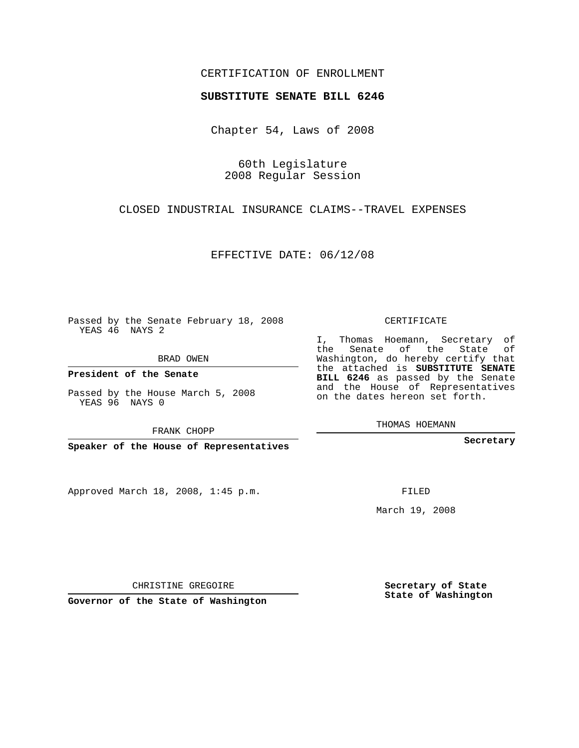## CERTIFICATION OF ENROLLMENT

## **SUBSTITUTE SENATE BILL 6246**

Chapter 54, Laws of 2008

60th Legislature 2008 Regular Session

CLOSED INDUSTRIAL INSURANCE CLAIMS--TRAVEL EXPENSES

EFFECTIVE DATE: 06/12/08

Passed by the Senate February 18, 2008 YEAS 46 NAYS 2

BRAD OWEN

**President of the Senate**

Passed by the House March 5, 2008 YEAS 96 NAYS 0

FRANK CHOPP

**Speaker of the House of Representatives**

Approved March 18, 2008, 1:45 p.m.

CERTIFICATE

I, Thomas Hoemann, Secretary of the Senate of the State of Washington, do hereby certify that the attached is **SUBSTITUTE SENATE BILL 6246** as passed by the Senate and the House of Representatives on the dates hereon set forth.

THOMAS HOEMANN

**Secretary**

FILED

March 19, 2008

**Secretary of State State of Washington**

CHRISTINE GREGOIRE

**Governor of the State of Washington**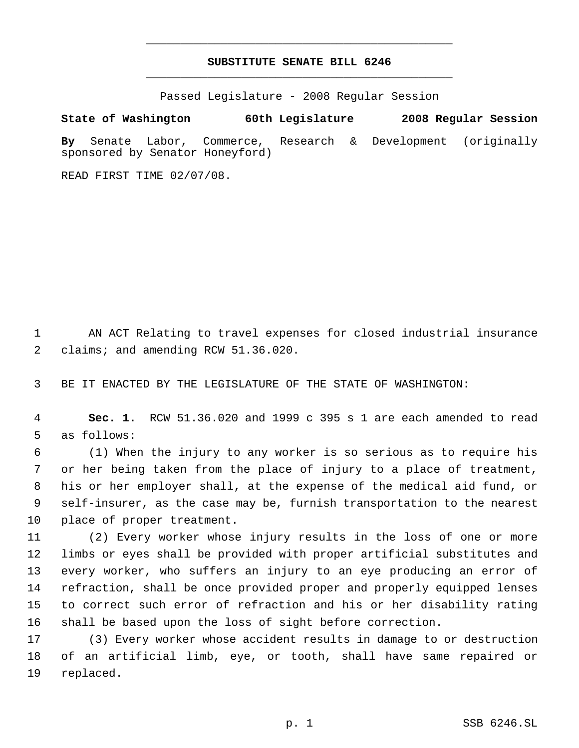## **SUBSTITUTE SENATE BILL 6246** \_\_\_\_\_\_\_\_\_\_\_\_\_\_\_\_\_\_\_\_\_\_\_\_\_\_\_\_\_\_\_\_\_\_\_\_\_\_\_\_\_\_\_\_\_

\_\_\_\_\_\_\_\_\_\_\_\_\_\_\_\_\_\_\_\_\_\_\_\_\_\_\_\_\_\_\_\_\_\_\_\_\_\_\_\_\_\_\_\_\_

Passed Legislature - 2008 Regular Session

**State of Washington 60th Legislature 2008 Regular Session By** Senate Labor, Commerce, Research & Development (originally sponsored by Senator Honeyford)

READ FIRST TIME 02/07/08.

 AN ACT Relating to travel expenses for closed industrial insurance 2 claims; and amending RCW 51.36.020.

BE IT ENACTED BY THE LEGISLATURE OF THE STATE OF WASHINGTON:

 **Sec. 1.** RCW 51.36.020 and 1999 c 395 s 1 are each amended to read as follows:

 (1) When the injury to any worker is so serious as to require his or her being taken from the place of injury to a place of treatment, his or her employer shall, at the expense of the medical aid fund, or self-insurer, as the case may be, furnish transportation to the nearest place of proper treatment.

 (2) Every worker whose injury results in the loss of one or more limbs or eyes shall be provided with proper artificial substitutes and every worker, who suffers an injury to an eye producing an error of refraction, shall be once provided proper and properly equipped lenses to correct such error of refraction and his or her disability rating shall be based upon the loss of sight before correction.

 (3) Every worker whose accident results in damage to or destruction of an artificial limb, eye, or tooth, shall have same repaired or replaced.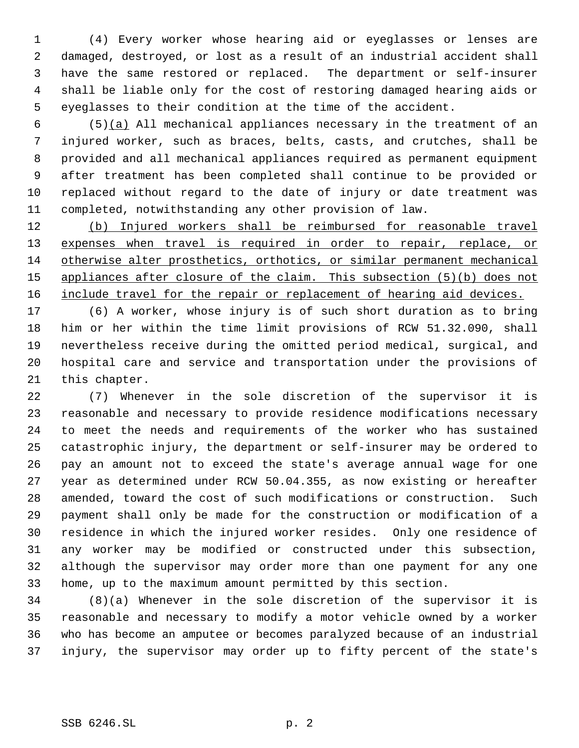(4) Every worker whose hearing aid or eyeglasses or lenses are damaged, destroyed, or lost as a result of an industrial accident shall have the same restored or replaced. The department or self-insurer shall be liable only for the cost of restoring damaged hearing aids or eyeglasses to their condition at the time of the accident.

 (5)(a) All mechanical appliances necessary in the treatment of an injured worker, such as braces, belts, casts, and crutches, shall be provided and all mechanical appliances required as permanent equipment after treatment has been completed shall continue to be provided or replaced without regard to the date of injury or date treatment was completed, notwithstanding any other provision of law.

 (b) Injured workers shall be reimbursed for reasonable travel 13 expenses when travel is required in order to repair, replace, or otherwise alter prosthetics, orthotics, or similar permanent mechanical appliances after closure of the claim. This subsection (5)(b) does not 16 include travel for the repair or replacement of hearing aid devices.

 (6) A worker, whose injury is of such short duration as to bring him or her within the time limit provisions of RCW 51.32.090, shall nevertheless receive during the omitted period medical, surgical, and hospital care and service and transportation under the provisions of this chapter.

 (7) Whenever in the sole discretion of the supervisor it is reasonable and necessary to provide residence modifications necessary to meet the needs and requirements of the worker who has sustained catastrophic injury, the department or self-insurer may be ordered to pay an amount not to exceed the state's average annual wage for one year as determined under RCW 50.04.355, as now existing or hereafter amended, toward the cost of such modifications or construction. Such payment shall only be made for the construction or modification of a residence in which the injured worker resides. Only one residence of any worker may be modified or constructed under this subsection, although the supervisor may order more than one payment for any one home, up to the maximum amount permitted by this section.

 (8)(a) Whenever in the sole discretion of the supervisor it is reasonable and necessary to modify a motor vehicle owned by a worker who has become an amputee or becomes paralyzed because of an industrial injury, the supervisor may order up to fifty percent of the state's